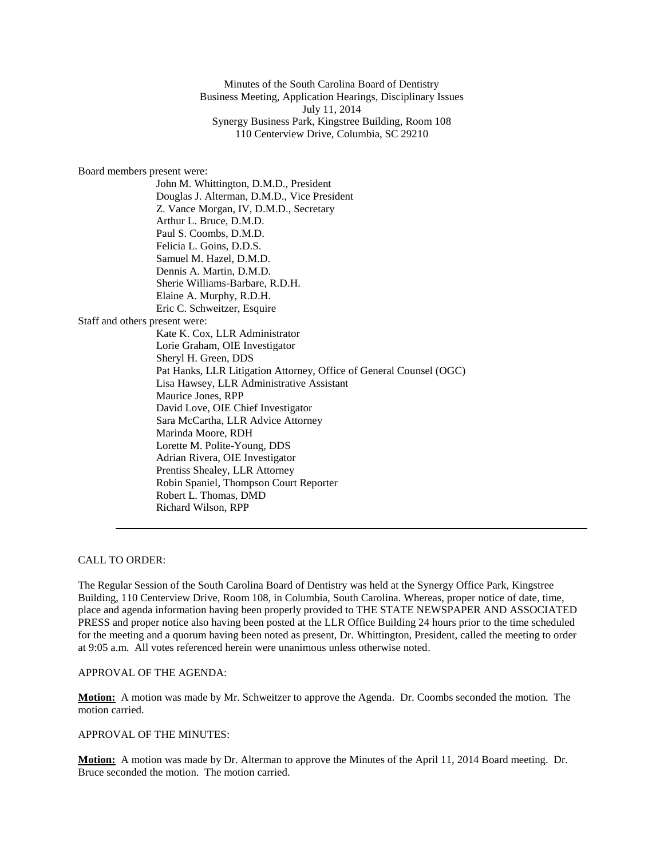Minutes of the South Carolina Board of Dentistry Business Meeting, Application Hearings, Disciplinary Issues July 11, 2014 Synergy Business Park, Kingstree Building, Room 108 110 Centerview Drive, Columbia, SC 29210

### Board members present were:

John M. Whittington, D.M.D., President Douglas J. Alterman, D.M.D., Vice President Z. Vance Morgan, IV, D.M.D., Secretary Arthur L. Bruce, D.M.D. Paul S. Coombs, D.M.D. Felicia L. Goins, D.D.S. Samuel M. Hazel, D.M.D. Dennis A. Martin, D.M.D. Sherie Williams-Barbare, R.D.H. Elaine A. Murphy, R.D.H. Eric C. Schweitzer, Esquire Staff and others present were: Kate K. Cox, LLR Administrator Lorie Graham, OIE Investigator Sheryl H. Green, DDS Pat Hanks, LLR Litigation Attorney, Office of General Counsel (OGC) Lisa Hawsey, LLR Administrative Assistant Maurice Jones, RPP David Love, OIE Chief Investigator Sara McCartha, LLR Advice Attorney Marinda Moore, RDH Lorette M. Polite-Young, DDS Adrian Rivera, OIE Investigator Prentiss Shealey, LLR Attorney Robin Spaniel, Thompson Court Reporter Robert L. Thomas, DMD Richard Wilson, RPP

## CALL TO ORDER:

The Regular Session of the South Carolina Board of Dentistry was held at the Synergy Office Park, Kingstree Building, 110 Centerview Drive, Room 108, in Columbia, South Carolina. Whereas, proper notice of date, time, place and agenda information having been properly provided to THE STATE NEWSPAPER AND ASSOCIATED PRESS and proper notice also having been posted at the LLR Office Building 24 hours prior to the time scheduled for the meeting and a quorum having been noted as present, Dr. Whittington, President, called the meeting to order at 9:05 a.m. All votes referenced herein were unanimous unless otherwise noted.

# APPROVAL OF THE AGENDA:

**Motion:** A motion was made by Mr. Schweitzer to approve the Agenda. Dr. Coombs seconded the motion. The motion carried.

#### APPROVAL OF THE MINUTES:

**Motion:** A motion was made by Dr. Alterman to approve the Minutes of the April 11, 2014 Board meeting. Dr. Bruce seconded the motion. The motion carried.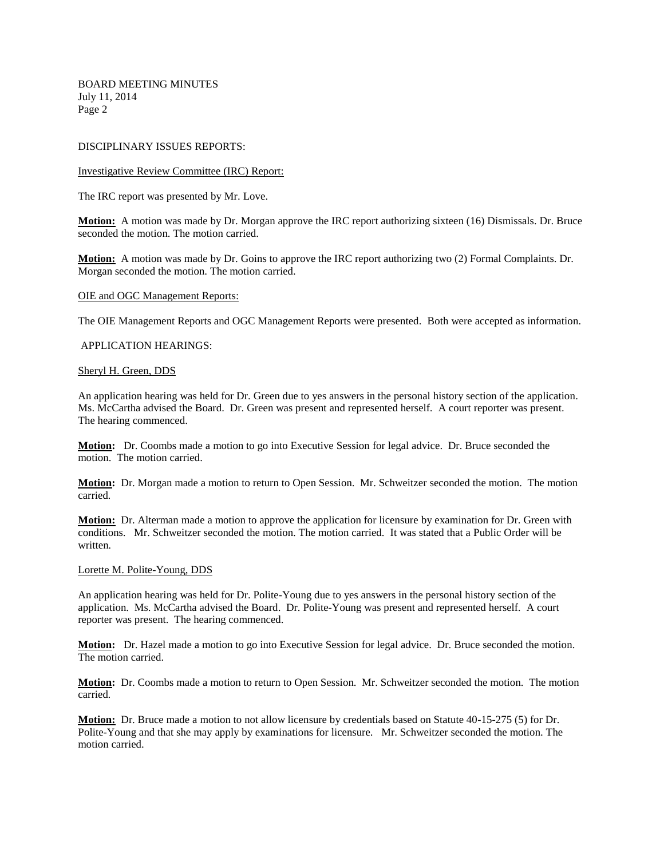## DISCIPLINARY ISSUES REPORTS:

## Investigative Review Committee (IRC) Report:

The IRC report was presented by Mr. Love.

**Motion:** A motion was made by Dr. Morgan approve the IRC report authorizing sixteen (16) Dismissals. Dr. Bruce seconded the motion. The motion carried.

**Motion:** A motion was made by Dr. Goins to approve the IRC report authorizing two (2) Formal Complaints. Dr. Morgan seconded the motion. The motion carried.

#### OIE and OGC Management Reports:

The OIE Management Reports and OGC Management Reports were presented. Both were accepted as information.

## APPLICATION HEARINGS:

#### Sheryl H. Green, DDS

An application hearing was held for Dr. Green due to yes answers in the personal history section of the application. Ms. McCartha advised the Board. Dr. Green was present and represented herself*.* A court reporter was present. The hearing commenced.

**Motion:** Dr. Coombs made a motion to go into Executive Session for legal advice. Dr. Bruce seconded the motion. The motion carried.

**Motion:** Dr. Morgan made a motion to return to Open Session. Mr. Schweitzer seconded the motion. The motion carried*.* 

**Motion:** Dr. Alterman made a motion to approve the application for licensure by examination for Dr. Green with conditions. Mr. Schweitzer seconded the motion. The motion carried. It was stated that a Public Order will be written*.*

#### Lorette M. Polite-Young, DDS

An application hearing was held for Dr. Polite-Young due to yes answers in the personal history section of the application. Ms. McCartha advised the Board. Dr. Polite-Young was present and represented herself*.* A court reporter was present. The hearing commenced.

**Motion:** Dr. Hazel made a motion to go into Executive Session for legal advice. Dr. Bruce seconded the motion. The motion carried.

**Motion:** Dr. Coombs made a motion to return to Open Session. Mr. Schweitzer seconded the motion. The motion carried*.* 

**Motion:** Dr. Bruce made a motion to not allow licensure by credentials based on Statute 40-15-275 (5) for Dr. Polite-Young and that she may apply by examinations for licensure. Mr. Schweitzer seconded the motion. The motion carried.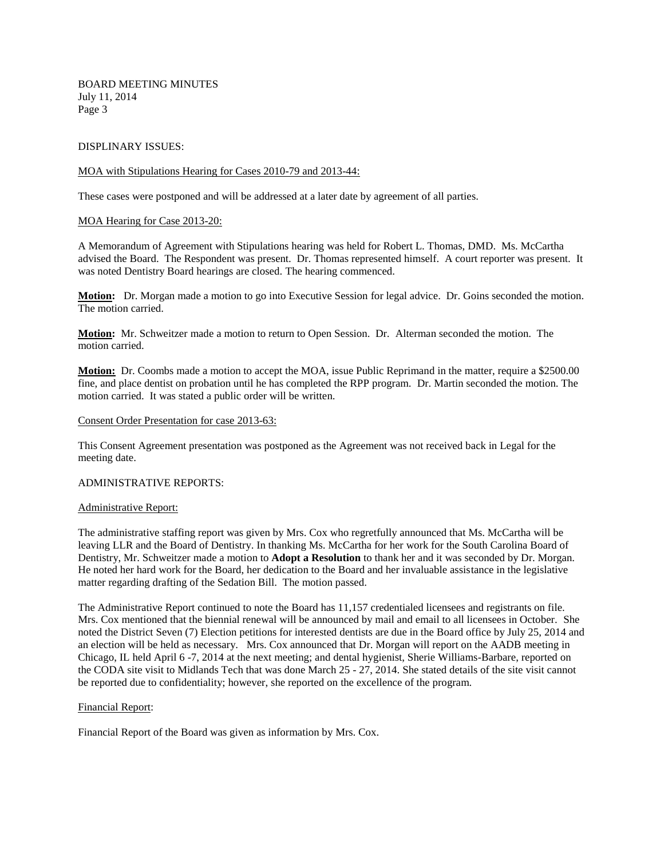### DISPLINARY ISSUES:

#### MOA with Stipulations Hearing for Cases 2010-79 and 2013-44:

These cases were postponed and will be addressed at a later date by agreement of all parties.

### MOA Hearing for Case 2013-20:

A Memorandum of Agreement with Stipulations hearing was held for Robert L. Thomas, DMD. Ms. McCartha advised the Board. The Respondent was present. Dr. Thomas represented himself. A court reporter was present. It was noted Dentistry Board hearings are closed. The hearing commenced.

**Motion:** Dr. Morgan made a motion to go into Executive Session for legal advice. Dr. Goins seconded the motion. The motion carried.

**Motion:** Mr. Schweitzer made a motion to return to Open Session. Dr. Alterman seconded the motion. The motion carried.

**Motion:** Dr. Coombs made a motion to accept the MOA, issue Public Reprimand in the matter, require a \$2500.00 fine, and place dentist on probation until he has completed the RPP program. Dr. Martin seconded the motion. The motion carried. It was stated a public order will be written.

#### Consent Order Presentation for case 2013-63:

This Consent Agreement presentation was postponed as the Agreement was not received back in Legal for the meeting date.

#### ADMINISTRATIVE REPORTS:

#### Administrative Report:

The administrative staffing report was given by Mrs. Cox who regretfully announced that Ms. McCartha will be leaving LLR and the Board of Dentistry. In thanking Ms. McCartha for her work for the South Carolina Board of Dentistry, Mr. Schweitzer made a motion to **Adopt a Resolution** to thank her and it was seconded by Dr. Morgan. He noted her hard work for the Board, her dedication to the Board and her invaluable assistance in the legislative matter regarding drafting of the Sedation Bill. The motion passed.

The Administrative Report continued to note the Board has 11,157 credentialed licensees and registrants on file. Mrs. Cox mentioned that the biennial renewal will be announced by mail and email to all licensees in October. She noted the District Seven (7) Election petitions for interested dentists are due in the Board office by July 25, 2014 and an election will be held as necessary. Mrs. Cox announced that Dr. Morgan will report on the AADB meeting in Chicago, IL held April 6 -7, 2014 at the next meeting; and dental hygienist, Sherie Williams-Barbare, reported on the CODA site visit to Midlands Tech that was done March 25 - 27, 2014. She stated details of the site visit cannot be reported due to confidentiality; however, she reported on the excellence of the program.

#### Financial Report:

Financial Report of the Board was given as information by Mrs. Cox.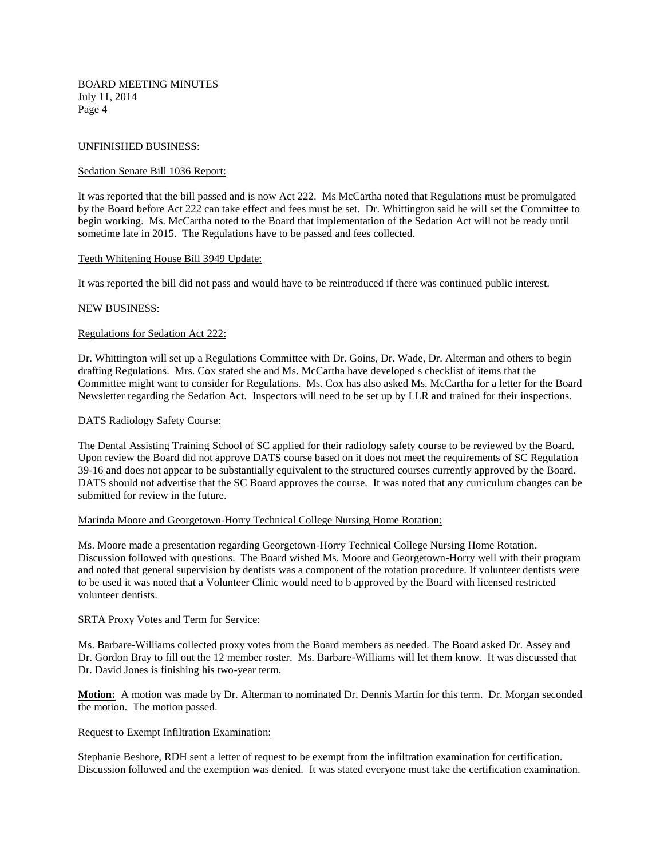## UNFINISHED BUSINESS:

## Sedation Senate Bill 1036 Report:

It was reported that the bill passed and is now Act 222. Ms McCartha noted that Regulations must be promulgated by the Board before Act 222 can take effect and fees must be set. Dr. Whittington said he will set the Committee to begin working. Ms. McCartha noted to the Board that implementation of the Sedation Act will not be ready until sometime late in 2015. The Regulations have to be passed and fees collected.

## Teeth Whitening House Bill 3949 Update:

It was reported the bill did not pass and would have to be reintroduced if there was continued public interest.

# NEW BUSINESS:

# Regulations for Sedation Act 222:

Dr. Whittington will set up a Regulations Committee with Dr. Goins, Dr. Wade, Dr. Alterman and others to begin drafting Regulations. Mrs. Cox stated she and Ms. McCartha have developed s checklist of items that the Committee might want to consider for Regulations. Ms. Cox has also asked Ms. McCartha for a letter for the Board Newsletter regarding the Sedation Act. Inspectors will need to be set up by LLR and trained for their inspections.

# DATS Radiology Safety Course:

The Dental Assisting Training School of SC applied for their radiology safety course to be reviewed by the Board. Upon review the Board did not approve DATS course based on it does not meet the requirements of SC Regulation 39-16 and does not appear to be substantially equivalent to the structured courses currently approved by the Board. DATS should not advertise that the SC Board approves the course. It was noted that any curriculum changes can be submitted for review in the future.

## Marinda Moore and Georgetown-Horry Technical College Nursing Home Rotation:

Ms. Moore made a presentation regarding Georgetown-Horry Technical College Nursing Home Rotation. Discussion followed with questions. The Board wished Ms. Moore and Georgetown-Horry well with their program and noted that general supervision by dentists was a component of the rotation procedure. If volunteer dentists were to be used it was noted that a Volunteer Clinic would need to b approved by the Board with licensed restricted volunteer dentists.

## SRTA Proxy Votes and Term for Service:

Ms. Barbare-Williams collected proxy votes from the Board members as needed. The Board asked Dr. Assey and Dr. Gordon Bray to fill out the 12 member roster. Ms. Barbare-Williams will let them know. It was discussed that Dr. David Jones is finishing his two-year term.

**Motion:** A motion was made by Dr. Alterman to nominated Dr. Dennis Martin for this term. Dr. Morgan seconded the motion. The motion passed.

## Request to Exempt Infiltration Examination:

Stephanie Beshore, RDH sent a letter of request to be exempt from the infiltration examination for certification. Discussion followed and the exemption was denied. It was stated everyone must take the certification examination.